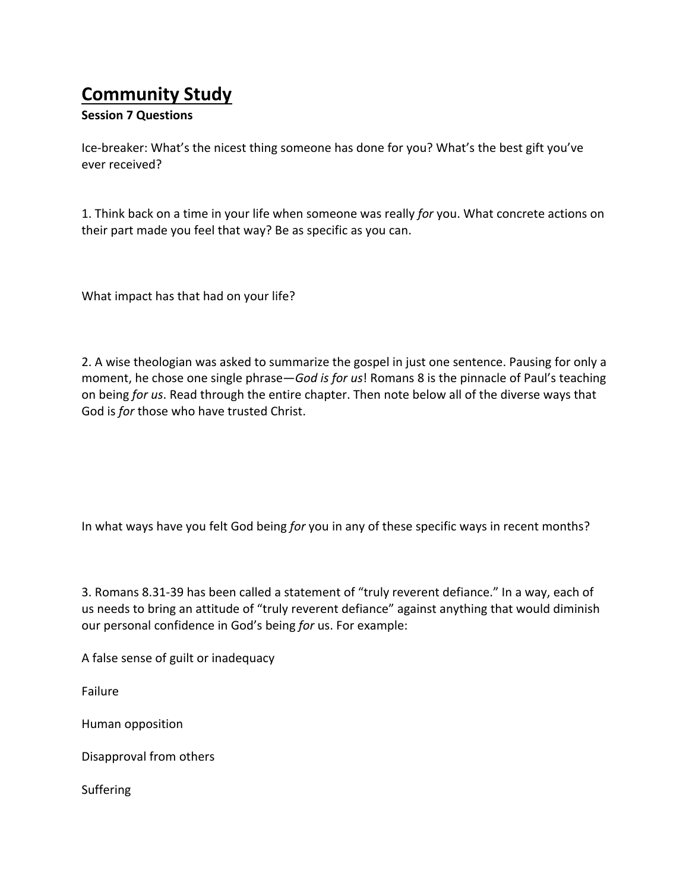## **Community Study**

## **Session 7 Questions**

Ice-breaker: What's the nicest thing someone has done for you? What's the best gift you've ever received?

1. Think back on a time in your life when someone was really *for* you. What concrete actions on their part made you feel that way? Be as specific as you can.

What impact has that had on your life?

2. A wise theologian was asked to summarize the gospel in just one sentence. Pausing for only a moment, he chose one single phrase—*God is for us*! Romans 8 is the pinnacle of Paul's teaching on being for us. Read through the entire chapter. Then note below all of the diverse ways that God is *for* those who have trusted Christ.

In what ways have you felt God being for you in any of these specific ways in recent months?

3. Romans 8.31-39 has been called a statement of "truly reverent defiance." In a way, each of us needs to bring an attitude of "truly reverent defiance" against anything that would diminish our personal confidence in God's being *for* us. For example:

A false sense of guilt or inadequacy

Failure

Human opposition

Disapproval from others

Suffering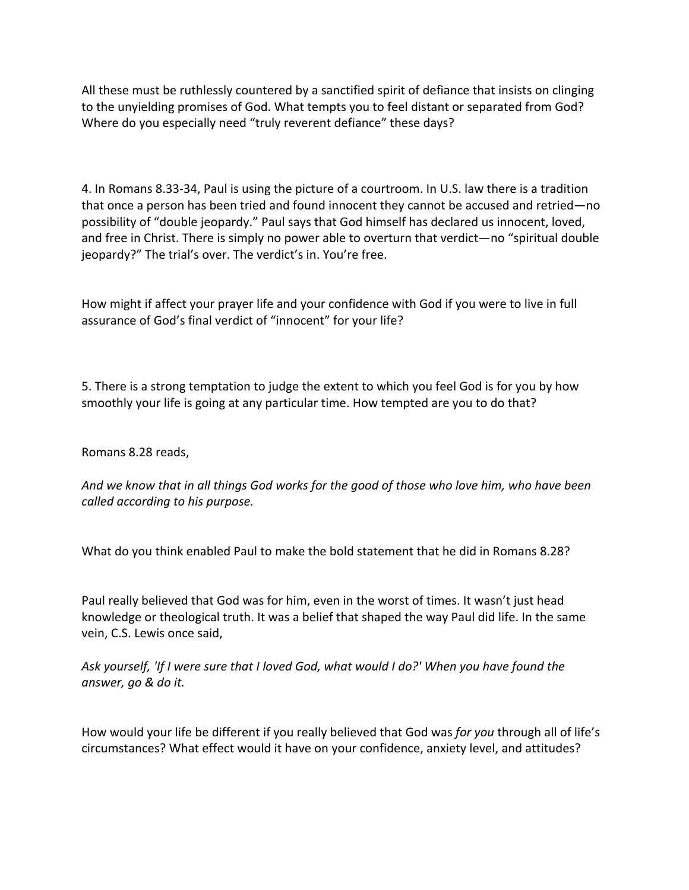All these must be ruthlessly countered by a sanctified spirit of defiance that insists on clinging to the unyielding promises of God. What tempts you to feel distant or separated from God? Where do you especially need "truly reverent defiance" these days?

4. In Romans 8.33-34, Paul is using the picture of a courtroom. In U.S. law there is a tradition that once a person has been tried and found innocent they cannot be accused and retried—no possibility of "double jeopardy." Paul says that God himself has declared us innocent, loved, and free in Christ. There is simply no power able to overturn that verdict—no "spiritual double jeopardy?" The trial's over. The verdict's in. You're free.

How might if affect your prayer life and your confidence with God if you were to live in full assurance of God's final verdict of "innocent" for your life?

5. There is a strong temptation to judge the extent to which you feel God is for you by how smoothly your life is going at any particular time. How tempted are you to do that?

Romans 8.28 reads, 

And we know that in all things God works for the good of those who love him, who have been *called according to his purpose.*

What do you think enabled Paul to make the bold statement that he did in Romans 8.28?

Paul really believed that God was for him, even in the worst of times. It wasn't just head knowledge or theological truth. It was a belief that shaped the way Paul did life. In the same vein, C.S. Lewis once said,

Ask yourself, 'If I were sure that I loved God, what would I do?' When you have found the *answer, go & do it.*

How would your life be different if you really believed that God was *for you* through all of life's circumstances? What effect would it have on your confidence, anxiety level, and attitudes?